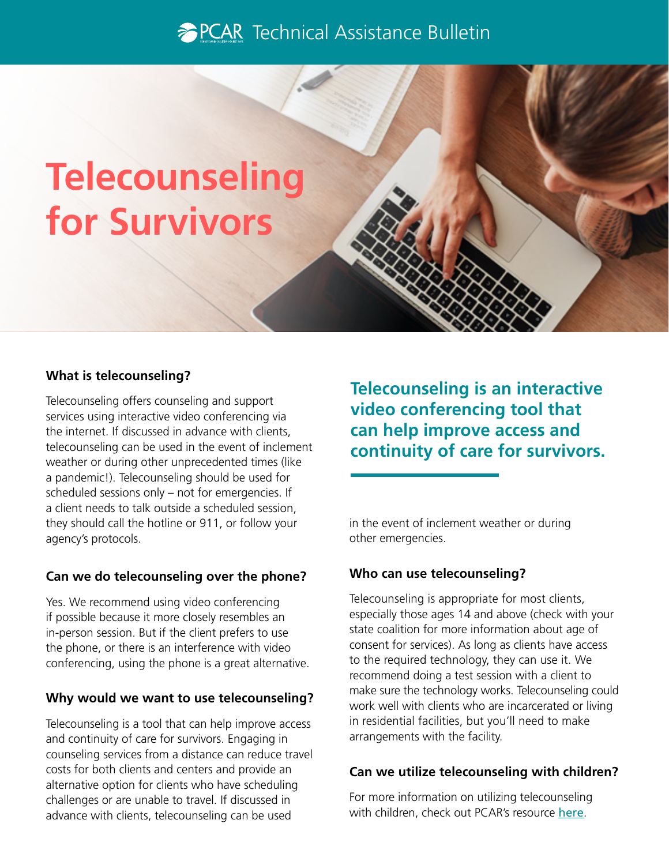# **The PCAR** Technical Assistance Bulletin

# **Telecounseling for Survivors**

#### **What is telecounseling?**

Telecounseling offers counseling and support services using interactive video conferencing via the internet. If discussed in advance with clients, telecounseling can be used in the event of inclement weather or during other unprecedented times (like a pandemic!). Telecounseling should be used for scheduled sessions only – not for emergencies. If a client needs to talk outside a scheduled session, they should call the hotline or 911, or follow your agency's protocols.

#### **Can we do telecounseling over the phone?**

Yes. We recommend using video conferencing if possible because it more closely resembles an in-person session. But if the client prefers to use the phone, or there is an interference with video conferencing, using the phone is a great alternative.

#### **Why would we want to use telecounseling?**

Telecounseling is a tool that can help improve access and continuity of care for survivors. Engaging in counseling services from a distance can reduce travel costs for both clients and centers and provide an alternative option for clients who have scheduling challenges or are unable to travel. If discussed in advance with clients, telecounseling can be used

**Telecounseling is an interactive video conferencing tool that can help improve access and continuity of care for survivors.** 

in the event of inclement weather or during other emergencies.

#### **Who can use telecounseling?**

Telecounseling is appropriate for most clients, especially those ages 14 and above (check with your state coalition for more information about age of consent for services). As long as clients have access to the required technology, they can use it. We recommend doing a test session with a client to make sure the technology works. Telecounseling could work well with clients who are incarcerated or living in residential facilities, but you'll need to make arrangements with the facility.

#### **Can we utilize telecounseling with children?**

For more information on utilizing telecounseling with children, check out PCAR's resource [here](https://pcar.org/sites/default/files/resource-pdfs/telecounseling_with_children_and_teens_508.pdf).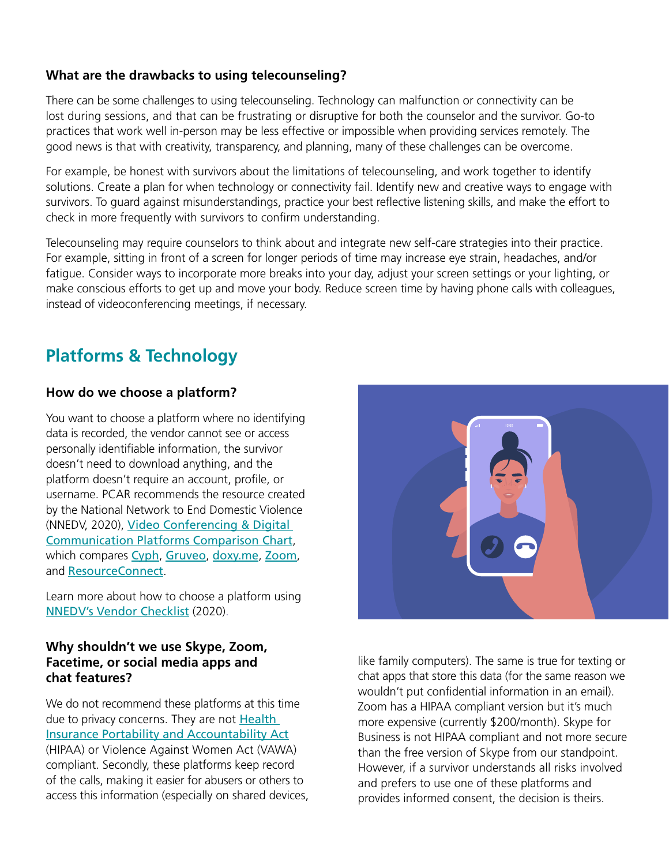#### **What are the drawbacks to using telecounseling?**

There can be some challenges to using telecounseling. Technology can malfunction or connectivity can be lost during sessions, and that can be frustrating or disruptive for both the counselor and the survivor. Go-to practices that work well in-person may be less effective or impossible when providing services remotely. The good news is that with creativity, transparency, and planning, many of these challenges can be overcome.

For example, be honest with survivors about the limitations of telecounseling, and work together to identify solutions. Create a plan for when technology or connectivity fail. Identify new and creative ways to engage with survivors. To guard against misunderstandings, practice your best refective listening skills, and make the effort to check in more frequently with survivors to confrm understanding.

Telecounseling may require counselors to think about and integrate new self-care strategies into their practice. For example, sitting in front of a screen for longer periods of time may increase eye strain, headaches, and/or fatigue. Consider ways to incorporate more breaks into your day, adjust your screen settings or your lighting, or make conscious efforts to get up and move your body. Reduce screen time by having phone calls with colleagues, instead of videoconferencing meetings, if necessary.

# **Platforms & Technology**

#### **How do we choose a platform?**

You want to choose a platform where no identifying data is recorded, the vendor cannot see or access personally identifable information, the survivor doesn't need to download anything, and the platform doesn't require an account, profle, or username. PCAR recommends the resource created by the National Network to End Domestic Violence (NNEDV, 2020), [Video Conferencing & Digital](https://static1.squarespace.com/static/51dc541ce4b03ebab8c5c88c/t/5e7e62a25ed80a4219adad77/1585341091261/NNEDV_Communication+Tools_Handout.pdf)  [Communication Platforms Comparison Chart](https://static1.squarespace.com/static/51dc541ce4b03ebab8c5c88c/t/5e7e62a25ed80a4219adad77/1585341091261/NNEDV_Communication+Tools_Handout.pdf), which compares [Cyph](https://www.cyph.com/), [Gruveo](https://www.gruveo.com/), [doxy.me](https://doxy.me/), [Zoom](http://www.zoom.com/), and [ResourceConnect](http://www.resourceconnect.com/).

Learn more about how to choose a platform using [NNEDV's Vendor Checklist](https://www.techsafety.org/digital-services-vendor-checklist) (2020).

#### **Why shouldn't we use Skype, Zoom, Facetime, or social media apps and chat features?**

We do not recommend these platforms at this time due to privacy concerns. They are not **Health** [Insurance Portability and Accountability Act](https://www.govinfo.gov/content/pkg/PLAW-104publ191/pdf/PLAW-104publ191.pdf) (HIPAA) or Violence Against Women Act (VAWA) compliant. Secondly, these platforms keep record of the calls, making it easier for abusers or others to access this information (especially on shared devices,



 like family computers). The same is true for texting or and prefers to use one of these platforms and chat apps that store this data (for the same reason we wouldn't put confidential information in an email). Zoom has a HIPAA compliant version but it's much more expensive (currently \$200/month). Skype for Business is not HIPAA compliant and not more secure than the free version of Skype from our standpoint. However, if a survivor understands all risks involved provides informed consent, the decision is theirs.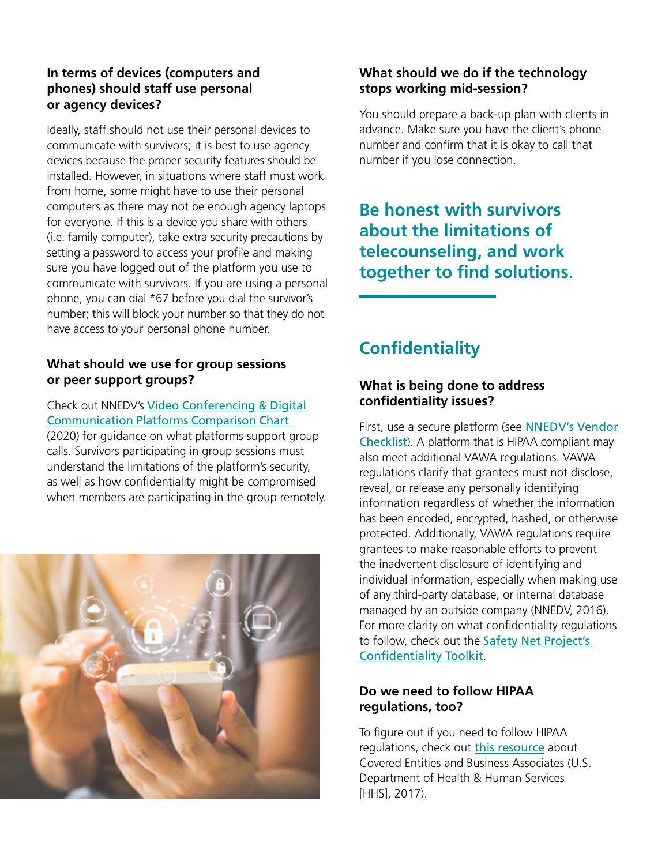#### **In terms of devices (computers and phones) should staff use personal or agency devices?**

Ideally, staff should not use their personal devices to communicate with survivors; it is best to use agency devices because the proper security features should be installed. However, in situations where staff must work from home, some might have to use their personal computers as there may not be enough agency laptops for everyone. If this is a device you share with others (i.e. family computer), take extra security precautions by setting a password to access your profile and making sure you have logged out of the platform you use to communicate with survivors. If you are using a personal phone, you can dial \*67 before you dial the survivor's number; this will block your number so that they do not have access to your personal phone number.

#### **What should we use for group sessions or peer support groups?**

Check out NNEDV's [Video Conferencing & Digital](https://static1.squarespace.com/static/51dc541ce4b03ebab8c5c88c/t/5e7e62a25ed80a4219adad77/1585341091261/NNEDV_Communication+Tools_Handout.pdf)  [Communication Platforms Comparison Chart](https://static1.squarespace.com/static/51dc541ce4b03ebab8c5c88c/t/5e7e62a25ed80a4219adad77/1585341091261/NNEDV_Communication+Tools_Handout.pdf)  [\(2020\)](https://static1.squarespace.com/static/51dc541ce4b03ebab8c5c88c/t/5e7e62a25ed80a4219adad77/1585341091261/NNEDV_Communication+Tools_Handout.pdf) for guidance on what platforms support group calls. Survivors participating in group sessions must understand the limitations of the platform's security, as well as how confdentiality might be compromised when members are participating in the group remotely.



## **What should we do if the technology stops working mid-session?**

You should prepare a back-up plan with clients in advance. Make sure you have the client's phone number and confrm that it is okay to call that number if you lose connection.

## **Be honest with survivors about the limitations of telecounseling, and work together to find solutions.**

# **Confidentiality**

## **What is being done to address confdentiality issues?**

First, use a secure platform (see **NNEDV's Vendor** [Checklist](https://www.techsafety.org/digital-services-vendor-checklist)). A platform that is HIPAA compliant may also meet additional VAWA regulations. VAWA regulations clarify that grantees must not disclose, reveal, or release any personally identifying information regardless of whether the information has been encoded, encrypted, hashed, or otherwise protected. Additionally, VAWA regulations require grantees to make reasonable efforts to prevent the inadvertent disclosure of identifying and individual information, especially when making use of any third-party database, or internal database managed by an outside company (NNEDV, 2016). For more clarity on what confidentiality regulations to follow, check out the [Safety Net Project's](https://www.techsafety.org/confidentiality-in-vawa-fvpsa)  Confidentiality Toolkit.

## **Do we need to follow HIPAA regulations, too?**

To figure out if you need to follow HIPAA regulations, check out [this resource](https://www.hhs.gov/hipaa/for-professionals/covered-entities/index.html) about Covered Entities and Business Associates (U.S. Department of Health & Human Services [HHS], 2017).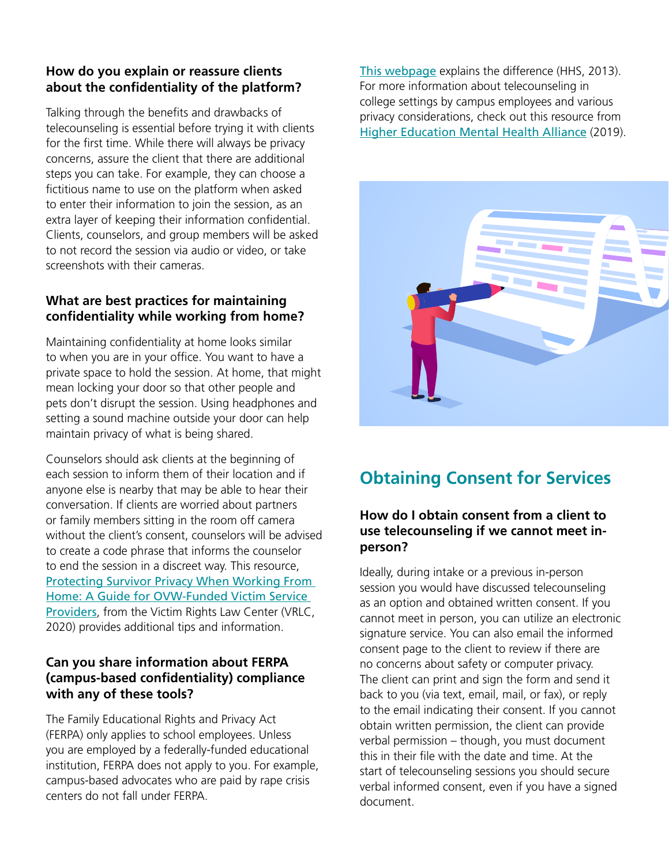#### **How do you explain or reassure clients about the confdentiality of the platform?**

Talking through the benefits and drawbacks of telecounseling is essential before trying it with clients for the first time. While there will always be privacy concerns, assure the client that there are additional steps you can take. For example, they can choose a fictitious name to use on the platform when asked to enter their information to join the session, as an extra layer of keeping their information confidential. Clients, counselors, and group members will be asked to not record the session via audio or video, or take screenshots with their cameras.

### **What are best practices for maintaining confdentiality while working from home?**

Maintaining confdentiality at home looks similar to when you are in your office. You want to have a private space to hold the session. At home, that might mean locking your door so that other people and pets don't disrupt the session. Using headphones and setting a sound machine outside your door can help maintain privacy of what is being shared.

Counselors should ask clients at the beginning of each session to inform them of their location and if anyone else is nearby that may be able to hear their conversation. If clients are worried about partners or family members sitting in the room off camera without the client's consent, counselors will be advised to create a code phrase that informs the counselor to end the session in a discreet way. This resource, [Protecting Survivor Privacy When Working From](https://mcasa.org/assets/files/Privacy_When_Working_at_Home_VRLC.pdf)  [Home: A Guide for OVW-Funded Victim Service](https://mcasa.org/assets/files/Privacy_When_Working_at_Home_VRLC.pdf)  [Providers](https://mcasa.org/assets/files/Privacy_When_Working_at_Home_VRLC.pdf), from the Victim Rights Law Center (VRLC, 2020) provides additional tips and information.

#### **Can you share information about FERPA (campus-based confdentiality) compliance with any of these tools?**

The Family Educational Rights and Privacy Act (FERPA) only applies to school employees. Unless you are employed by a federally-funded educational institution, FERPA does not apply to you. For example, campus-based advocates who are paid by rape crisis centers do not fall under FERPA.

[This webpage](https://www.hhs.gov/hipaa/for-professionals/faq/514/does-hipaa-apply-to-school-student-health-records/index.html) explains the difference (HHS, 2013). For more information about telecounseling in college settings by campus employees and various privacy considerations, check out this resource from [Higher Education Mental Health Alliance](http://hemha.org/wp-content/uploads/2019/01/HEMHA-Distance-Counseling_FINAL2019.pdf) (2019).



# **Obtaining Consent for Services**

#### **How do I obtain consent from a client to use telecounseling if we cannot meet inperson?**

Ideally, during intake or a previous in-person session you would have discussed telecounseling as an option and obtained written consent. If you cannot meet in person, you can utilize an electronic signature service. You can also email the informed consent page to the client to review if there are no concerns about safety or computer privacy. The client can print and sign the form and send it back to you (via text, email, mail, or fax), or reply to the email indicating their consent. If you cannot obtain written permission, the client can provide verbal permission – though, you must document this in their fle with the date and time. At the start of telecounseling sessions you should secure verbal informed consent, even if you have a signed document.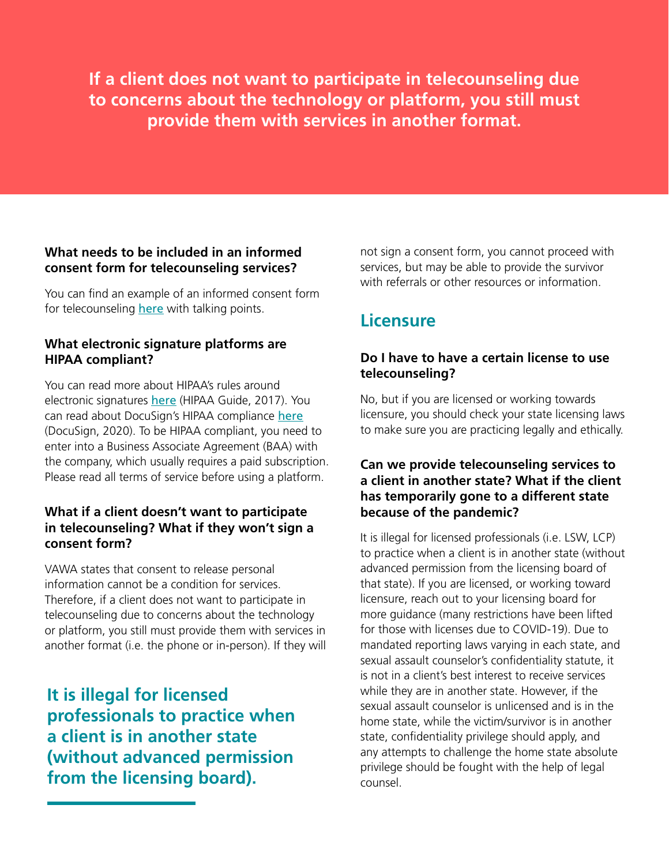**If a client does not want to participate in telecounseling due to concerns about the technology or platform, you still must provide them with services in another format.** 

#### **What needs to be included in an informed consent form for telecounseling services?**

You can find an example of an informed consent form for telecounseling [here](https://pcar.coalitionmanager.org/resourcemanager/resourcefile/details/45) with talking points.

## **What electronic signature platforms are HIPAA compliant?**

You can read more about HIPAA's rules around electronic signatures [here](https://www.hipaaguide.net/hipaa-e-signature-requirements/) (HIPAA Guide, 2017). You can read about DocuSign's HIPAA compliance [here](https://www.docusign.com/sites/default/files/DocuSign_HIPAA_Compliance_Overview.pdf) (DocuSign, 2020). To be HIPAA compliant, you need to enter into a Business Associate Agreement (BAA) with the company, which usually requires a paid subscription. Please read all terms of service before using a platform.

#### **What if a client doesn't want to participate in telecounseling? What if they won't sign a consent form?**

VAWA states that consent to release personal information cannot be a condition for services. Therefore, if a client does not want to participate in telecounseling due to concerns about the technology or platform, you still must provide them with services in another format (i.e. the phone or in-person). If they will

**It is illegal for licensed professionals to practice when a client is in another state (without advanced permission from the licensing board).** 

not sign a consent form, you cannot proceed with services, but may be able to provide the survivor with referrals or other resources or information.

# **Licensure**

## **Do I have to have a certain license to use telecounseling?**

No, but if you are licensed or working towards licensure, you should check your state licensing laws to make sure you are practicing legally and ethically.

#### **Can we provide telecounseling services to a client in another state? What if the client has temporarily gone to a different state because of the pandemic?**

It is illegal for licensed professionals (i.e. LSW, LCP) to practice when a client is in another state (without advanced permission from the licensing board of that state). If you are licensed, or working toward licensure, reach out to your licensing board for more guidance (many restrictions have been lifted for those with licenses due to COVID-19). Due to mandated reporting laws varying in each state, and sexual assault counselor's confdentiality statute, it is not in a client's best interest to receive services while they are in another state. However, if the sexual assault counselor is unlicensed and is in the home state, while the victim/survivor is in another state, confidentiality privilege should apply, and any attempts to challenge the home state absolute privilege should be fought with the help of legal counsel.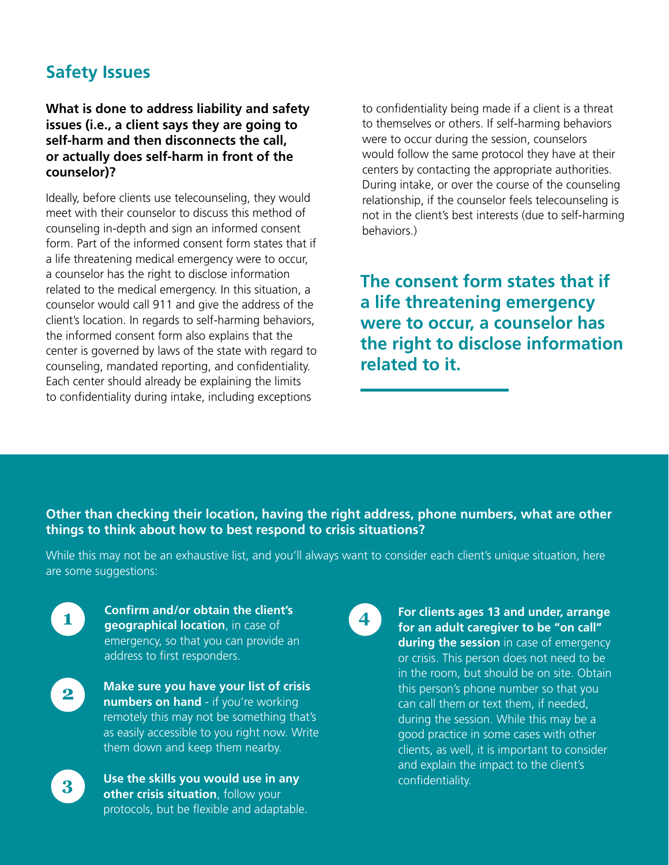# **Safety Issues**

#### **What is done to address liability and safety issues (i.e., a client says they are going to self-harm and then disconnects the call, or actually does self-harm in front of the counselor)?**

Ideally, before clients use telecounseling, they would meet with their counselor to discuss this method of counseling in-depth and sign an informed consent form. Part of the informed consent form states that if a life threatening medical emergency were to occur, a counselor has the right to disclose information related to the medical emergency. In this situation, a counselor would call 911 and give the address of the client's location. In regards to self-harming behaviors, the informed consent form also explains that the center is governed by laws of the state with regard to counseling, mandated reporting, and confdentiality. Each center should already be explaining the limits to confdentiality during intake, including exceptions

to confidentiality being made if a client is a threat to themselves or others. If self-harming behaviors were to occur during the session, counselors would follow the same protocol they have at their centers by contacting the appropriate authorities. During intake, or over the course of the counseling relationship, if the counselor feels telecounseling is not in the client's best interests (due to self-harming behaviors.)

**The consent form states that if a life threatening emergency were to occur, a counselor has the right to disclose information related to it.** 

**Other than checking their location, having the right address, phone numbers, what are other things to think about how to best respond to crisis situations?** 

While this may not be an exhaustive list, and you'll always want to consider each client's unique situation, here are some suggestions:



**Confrm and/or obtain the client's geographical location**, in case of emergency, so that you can provide an address to first responders.





**Use the skills you would use in any other crisis situation**, follow your protocols, but be flexible and adaptable.

**4 For clients ages 13 and under, arrange for an adult caregiver to be "on call" during the session** in case of emergency or crisis. This person does not need to be in the room, but should be on site. Obtain this person's phone number so that you can call them or text them, if needed, during the session. While this may be a good practice in some cases with other clients, as well, it is important to consider and explain the impact to the client's confidentiality.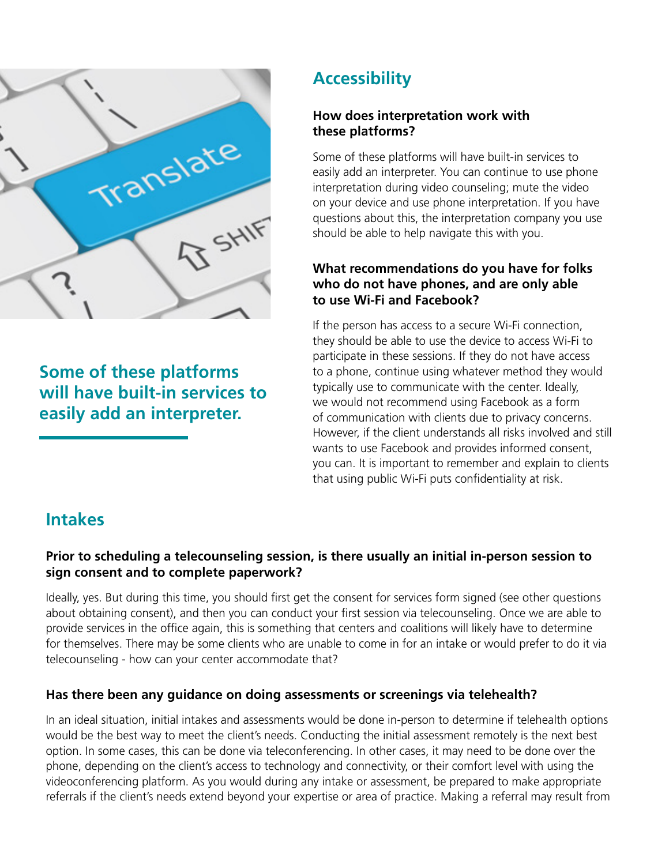

**Some of these platforms will have built-in services to easily add an interpreter.** 

# **Accessibility**

#### **How does interpretation work with these platforms?**

Some of these platforms will have built-in services to easily add an interpreter. You can continue to use phone interpretation during video counseling; mute the video on your device and use phone interpretation. If you have questions about this, the interpretation company you use should be able to help navigate this with you.

## **What recommendations do you have for folks who do not have phones, and are only able to use Wi-Fi and Facebook?**

If the person has access to a secure Wi-Fi connection, they should be able to use the device to access Wi-Fi to participate in these sessions. If they do not have access to a phone, continue using whatever method they would typically use to communicate with the center. Ideally, we would not recommend using Facebook as a form of communication with clients due to privacy concerns. However, if the client understands all risks involved and still wants to use Facebook and provides informed consent, you can. It is important to remember and explain to clients that using public Wi-Fi puts confidentiality at risk.

# **Intakes**

## **Prior to scheduling a telecounseling session, is there usually an initial in-person session to sign consent and to complete paperwork?**

Ideally, yes. But during this time, you should first get the consent for services form signed (see other questions about obtaining consent), and then you can conduct your first session via telecounseling. Once we are able to provide services in the office again, this is something that centers and coalitions will likely have to determine for themselves. There may be some clients who are unable to come in for an intake or would prefer to do it via telecounseling - how can your center accommodate that?

## **Has there been any guidance on doing assessments or screenings via telehealth?**

In an ideal situation, initial intakes and assessments would be done in-person to determine if telehealth options would be the best way to meet the client's needs. Conducting the initial assessment remotely is the next best option. In some cases, this can be done via teleconferencing. In other cases, it may need to be done over the phone, depending on the client's access to technology and connectivity, or their comfort level with using the videoconferencing platform. As you would during any intake or assessment, be prepared to make appropriate referrals if the client's needs extend beyond your expertise or area of practice. Making a referral may result from